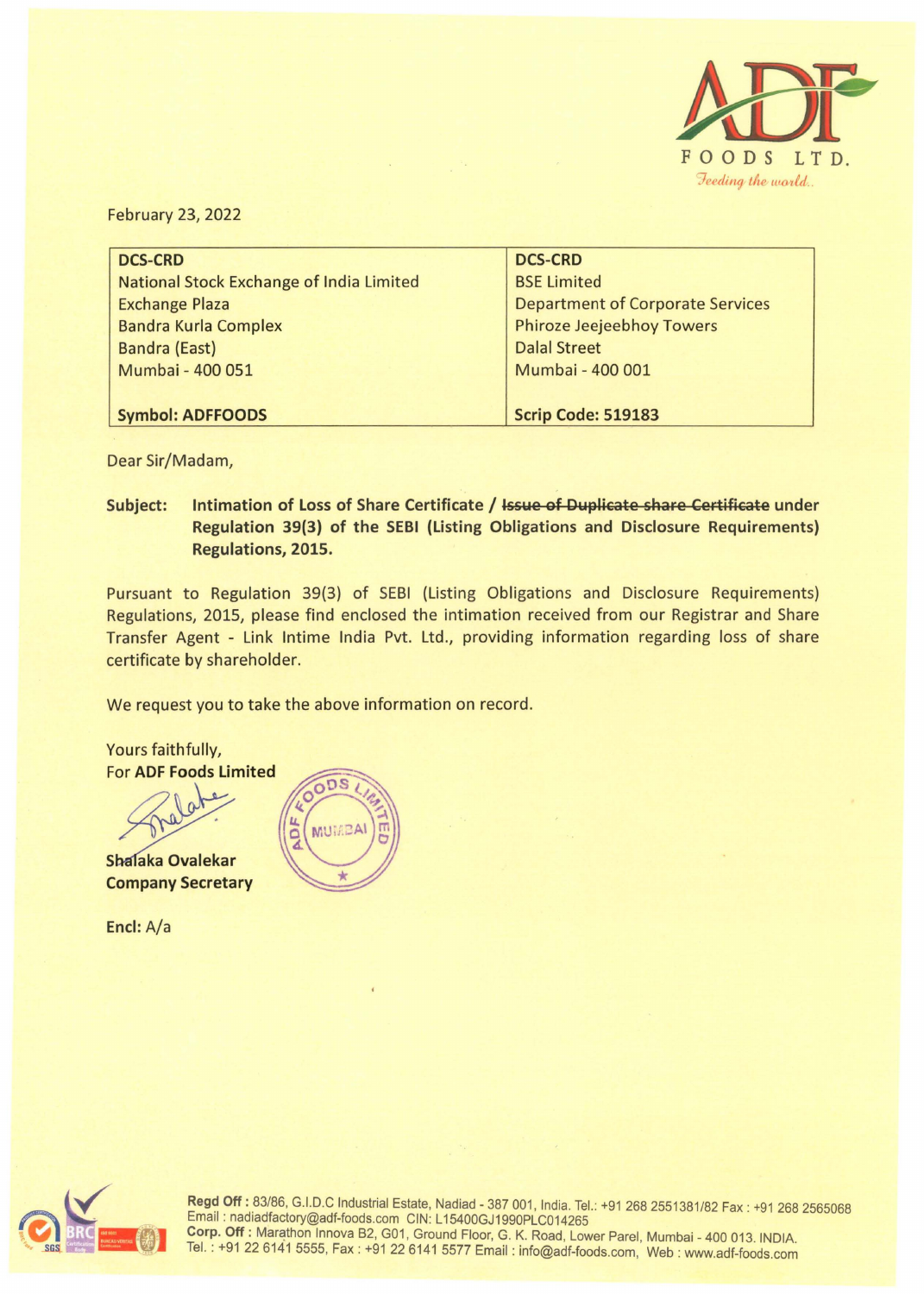

February 23, 2022

| <b>DCS-CRD</b>                           | <b>DCS-CRD</b>                          |  |  |
|------------------------------------------|-----------------------------------------|--|--|
| National Stock Exchange of India Limited | <b>BSE Limited</b>                      |  |  |
| <b>Exchange Plaza</b>                    | <b>Department of Corporate Services</b> |  |  |
| <b>Bandra Kurla Complex</b>              | <b>Phiroze Jeejeebhoy Towers</b>        |  |  |
| <b>Bandra (East)</b>                     | <b>Dalal Street</b>                     |  |  |
| Mumbai - 400 051                         | Mumbai - 400 001                        |  |  |
|                                          |                                         |  |  |
| <b>Symbol: ADFFOODS</b>                  | Scrip Code: 519183                      |  |  |

Dear Sir/Madam,

**Subject: Intimation of Loss of Share Certificate** / **Issue of Duplicate share Certificate under Regulation 39(3) of the SEBI (Listing Obligations and Disclosure Requirements) Regulations, 2015.** 

Pursuant to Regulation 39(3) of SEBI (Listing Obligations and Disclosure Requirements) Regulations, 2015, please find enclosed the intimation received from our Registrar and Share Transfer Agent - Link lntime India Pvt. Ltd., providing information regarding loss of share certificate by shareholder.

We request you to take the above information on record.

Yours faithfully, For **ADF Foods Limited Shalaka Ovalekar** or ADF Foods Limited

**Company Secretary** 

**Encl:** A/a





Regd Off: 83/86, G.I.D.C Industrial Estate, Nadiad - 387 001, India. Tel.: +91 268 2551381/82 Fax : +91 268 2565068 Email : nadiadfactory@adf-foods.com CIN: L15400GJ1990PLC014265 **Corp. Off: Marathon Innova B2, G01, Ground Floor, G. K. Road, Lower Parel, Mumbai - 400 013. INDIA.** Tel.: +91 22 6141 5555, Fax : +91 22 6141 5577 Email: info@adf-foods.com, Web : www.adf-foods.com